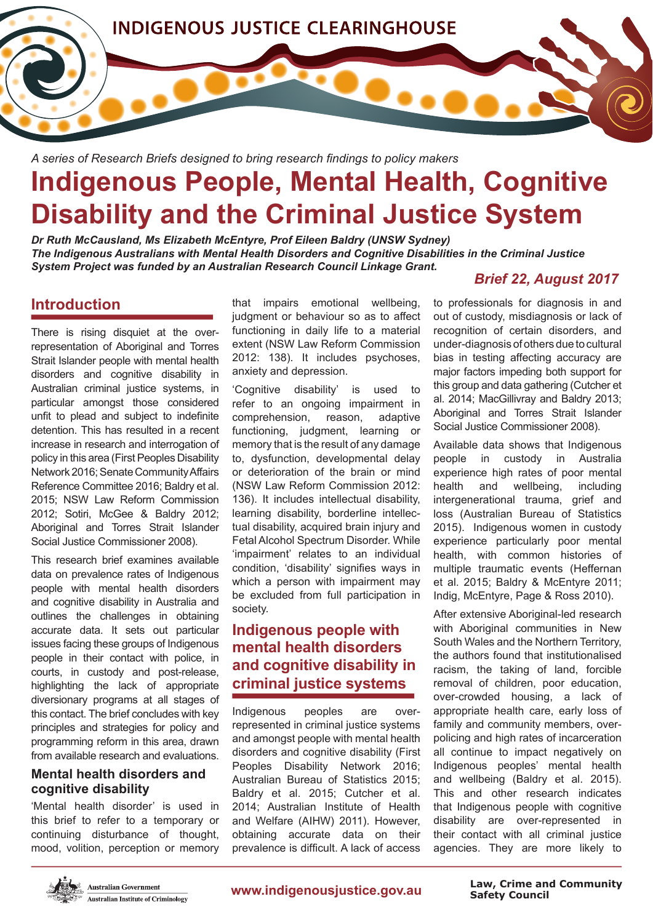

*A series of Research Briefs designed to bring research fndings to policy makers*

# **Indigenous People, Mental Health, Cognitive Disability and the Criminal Justice System**

*Dr Ruth McCausland, Ms Elizabeth McEntyre, Prof Eileen Baldry (UNSW Sydney) The Indigenous Australians with Mental Health Disorders and Cognitive Disabilities in the Criminal Justice System Project was funded by an Australian Research Council Linkage Grant.* 

## **Introduction**

There is rising disquiet at the overrepresentation of Aboriginal and Torres Strait Islander people with mental health disorders and cognitive disability in Australian criminal justice systems, in particular amongst those considered unfit to plead and subject to indefinite detention. This has resulted in a recent increase in research and interrogation of policy in this area (First Peoples Disability Network 2016; Senate Community Affairs Reference Committee 2016; Baldry et al. 2015; NSW Law Reform Commission 2012; Sotiri, McGee & Baldry 2012; Aboriginal and Torres Strait Islander Social Justice Commissioner 2008).

This research brief examines available data on prevalence rates of Indigenous people with mental health disorders and cognitive disability in Australia and outlines the challenges in obtaining accurate data. It sets out particular issues facing these groups of Indigenous people in their contact with police, in courts, in custody and post-release, highlighting the lack of appropriate diversionary programs at all stages of this contact. The brief concludes with key principles and strategies for policy and programming reform in this area, drawn from available research and evaluations.

#### **Mental health disorders and cognitive disability**

'Mental health disorder' is used in this brief to refer to a temporary or continuing disturbance of thought, mood, volition, perception or memory that impairs emotional wellbeing, judgment or behaviour so as to affect functioning in daily life to a material extent (NSW Law Reform Commission 2012: 138). It includes psychoses, anxiety and depression.

'Cognitive disability' is used to refer to an ongoing impairment in comprehension, reason, adaptive functioning, judgment, learning or memory that is the result of any damage to, dysfunction, developmental delay or deterioration of the brain or mind (NSW Law Reform Commission 2012: 136). It includes intellectual disability, learning disability, borderline intellectual disability, acquired brain injury and Fetal Alcohol Spectrum Disorder. While 'impairment' relates to an individual condition, 'disability' signifes ways in which a person with impairment may be excluded from full participation in society.

# **Indigenous people with mental health disorders and cognitive disability in criminal justice systems**

Indigenous peoples are overrepresented in criminal justice systems and amongst people with mental health disorders and cognitive disability (First Peoples Disability Network 2016; Australian Bureau of Statistics 2015; Baldry et al. 2015; Cutcher et al. 2014; Australian Institute of Health and Welfare (AIHW) 2011). However, obtaining accurate data on their prevalence is difficult. A lack of access

## *Brief 22, August 2017*

to professionals for diagnosis in and out of custody, misdiagnosis or lack of recognition of certain disorders, and under-diagnosis of others due to cultural bias in testing affecting accuracy are major factors impeding both support for this group and data gathering (Cutcher et al. 2014; MacGillivray and Baldry 2013; Aboriginal and Torres Strait Islander Social Justice Commissioner 2008).

Available data shows that Indigenous people in custody in Australia experience high rates of poor mental health and wellbeing, including intergenerational trauma, grief and loss (Australian Bureau of Statistics 2015). Indigenous women in custody experience particularly poor mental health, with common histories of multiple traumatic events (Heffernan et al. 2015; Baldry & McEntyre 2011; Indig, McEntyre, Page & Ross 2010).

After extensive Aboriginal-led research with Aboriginal communities in New South Wales and the Northern Territory, the authors found that institutionalised racism, the taking of land, forcible removal of children, poor education, over-crowded housing, a lack of appropriate health care, early loss of family and community members, overpolicing and high rates of incarceration all continue to impact negatively on Indigenous peoples' mental health and wellbeing (Baldry et al. 2015). This and other research indicates that Indigenous people with cognitive disability are over-represented in their contact with all criminal justice agencies. They are more likely to



**Australian Government Australian Institute of Criminology** 

www.indigenousjustice.gov.au

**Safety Council Law, Crime and Community**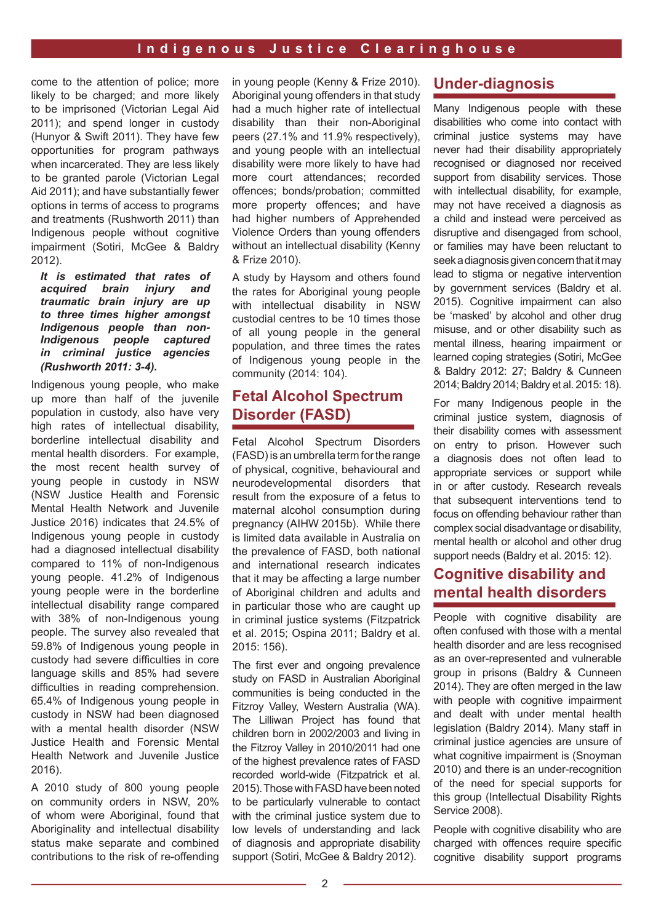come to the attention of police; more likely to be charged; and more likely to be imprisoned (Victorian Legal Aid 2011); and spend longer in custody (Hunyor & Swift 2011). They have few opportunities for program pathways when incarcerated. They are less likely to be granted parole (Victorian Legal Aid 2011); and have substantially fewer options in terms of access to programs and treatments (Rushworth 2011) than Indigenous people without cognitive impairment (Sotiri, McGee & Baldry 2012).

*It is estimated that rates of acquired brain injury and traumatic brain injury are up to three times higher amongst Indigenous people than non-Indigenous people captured in criminal justice agencies (Rushworth 2011: 3-4).* 

Indigenous young people, who make up more than half of the juvenile population in custody, also have very high rates of intellectual disability, borderline intellectual disability and mental health disorders. For example, the most recent health survey of young people in custody in NSW (NSW Justice Health and Forensic Mental Health Network and Juvenile Justice 2016) indicates that 24.5% of Indigenous young people in custody had a diagnosed intellectual disability compared to 11% of non-Indigenous young people. 41.2% of Indigenous young people were in the borderline intellectual disability range compared with 38% of non-Indigenous young people. The survey also revealed that 59.8% of Indigenous young people in custody had severe difficulties in core language skills and 85% had severe difficulties in reading comprehension. 65.4% of Indigenous young people in custody in NSW had been diagnosed with a mental health disorder (NSW Justice Health and Forensic Mental Health Network and Juvenile Justice 2016).

A 2010 study of 800 young people on community orders in NSW, 20% of whom were Aboriginal, found that Aboriginality and intellectual disability status make separate and combined contributions to the risk of re-offending in young people (Kenny & Frize 2010). Aboriginal young offenders in that study had a much higher rate of intellectual disability than their non-Aboriginal peers (27.1% and 11.9% respectively), and young people with an intellectual disability were more likely to have had more court attendances; recorded offences; bonds/probation; committed more property offences; and have had higher numbers of Apprehended Violence Orders than young offenders without an intellectual disability (Kenny & Frize 2010).

A study by Haysom and others found the rates for Aboriginal young people with intellectual disability in NSW custodial centres to be 10 times those of all young people in the general population, and three times the rates of Indigenous young people in the community (2014: 104).

## **Fetal Alcohol Spectrum Disorder (FASD)**

Fetal Alcohol Spectrum Disorders (FASD) is an umbrella term for the range of physical, cognitive, behavioural and neurodevelopmental disorders that result from the exposure of a fetus to maternal alcohol consumption during pregnancy (AIHW 2015b). While there is limited data available in Australia on the prevalence of FASD, both national and international research indicates that it may be affecting a large number of Aboriginal children and adults and in particular those who are caught up in criminal justice systems (Fitzpatrick et al. 2015; Ospina 2011; Baldry et al. 2015: 156).

The first ever and ongoing prevalence study on FASD in Australian Aboriginal communities is being conducted in the Fitzroy Valley, Western Australia (WA). The Lilliwan Project has found that children born in 2002/2003 and living in the Fitzroy Valley in 2010/2011 had one of the highest prevalence rates of FASD recorded world-wide (Fitzpatrick et al. 2015). Those with FASD have been noted to be particularly vulnerable to contact with the criminal justice system due to low levels of understanding and lack of diagnosis and appropriate disability support (Sotiri, McGee & Baldry 2012).

### **Under-diagnosis**

Many Indigenous people with these disabilities who come into contact with criminal justice systems may have never had their disability appropriately recognised or diagnosed nor received support from disability services. Those with intellectual disability, for example, may not have received a diagnosis as a child and instead were perceived as disruptive and disengaged from school, or families may have been reluctant to seek a diagnosis given concern that it may lead to stigma or negative intervention by government services (Baldry et al. 2015). Cognitive impairment can also be 'masked' by alcohol and other drug misuse, and or other disability such as mental illness, hearing impairment or learned coping strategies (Sotiri, McGee & Baldry 2012: 27; Baldry & Cunneen 2014; Baldry 2014; Baldry et al. 2015: 18).

For many Indigenous people in the criminal justice system, diagnosis of their disability comes with assessment on entry to prison. However such a diagnosis does not often lead to appropriate services or support while in or after custody. Research reveals that subsequent interventions tend to focus on offending behaviour rather than complex social disadvantage or disability, mental health or alcohol and other drug support needs (Baldry et al. 2015: 12).

## **Cognitive disability and mental health disorders**

People with cognitive disability are often confused with those with a mental health disorder and are less recognised as an over-represented and vulnerable group in prisons (Baldry & Cunneen 2014). They are often merged in the law with people with cognitive impairment and dealt with under mental health legislation (Baldry 2014). Many staff in criminal justice agencies are unsure of what cognitive impairment is (Snoyman 2010) and there is an under-recognition of the need for special supports for this group (Intellectual Disability Rights Service 2008).

People with cognitive disability who are charged with offences require specific cognitive disability support programs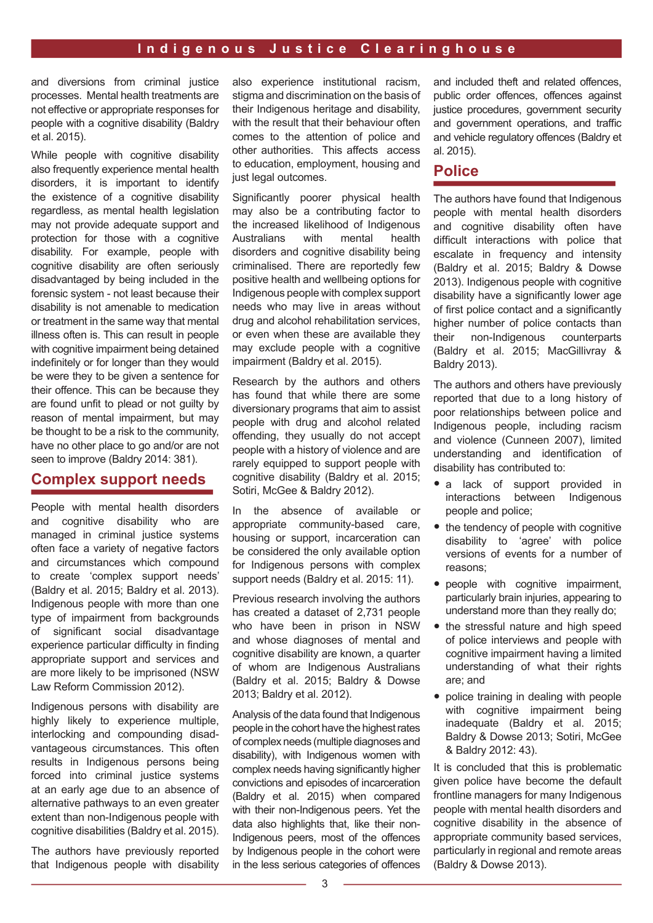and diversions from criminal justice processes. Mental health treatments are not effective or appropriate responses for people with a cognitive disability (Baldry et al. 2015).

While people with cognitive disability also frequently experience mental health disorders, it is important to identify the existence of a cognitive disability regardless, as mental health legislation may not provide adequate support and protection for those with a cognitive disability. For example, people with cognitive disability are often seriously disadvantaged by being included in the forensic system - not least because their disability is not amenable to medication or treatment in the same way that mental illness often is. This can result in people with cognitive impairment being detained indefinitely or for longer than they would be were they to be given a sentence for their offence. This can be because they are found unfit to plead or not quilty by reason of mental impairment, but may be thought to be a risk to the community, have no other place to go and/or are not seen to improve (Baldry 2014: 381).

#### **Complex support needs**

People with mental health disorders and cognitive disability who are managed in criminal justice systems often face a variety of negative factors and circumstances which compound to create 'complex support needs' (Baldry et al. 2015; Baldry et al. 2013). Indigenous people with more than one type of impairment from backgrounds of significant social disadvantage experience particular difficulty in finding appropriate support and services and are more likely to be imprisoned (NSW Law Reform Commission 2012).

Indigenous persons with disability are highly likely to experience multiple, interlocking and compounding disadvantageous circumstances. This often results in Indigenous persons being forced into criminal justice systems at an early age due to an absence of alternative pathways to an even greater extent than non-Indigenous people with cognitive disabilities (Baldry et al. 2015).

The authors have previously reported that Indigenous people with disability also experience institutional racism, stigma and discrimination on the basis of their Indigenous heritage and disability, with the result that their behaviour often comes to the attention of police and other authorities. This affects access to education, employment, housing and just legal outcomes.

Significantly poorer physical health may also be a contributing factor to the increased likelihood of Indigenous Australians with mental health disorders and cognitive disability being criminalised. There are reportedly few positive health and wellbeing options for Indigenous people with complex support needs who may live in areas without drug and alcohol rehabilitation services, or even when these are available they may exclude people with a cognitive impairment (Baldry et al. 2015).

Research by the authors and others has found that while there are some diversionary programs that aim to assist people with drug and alcohol related offending, they usually do not accept people with a history of violence and are rarely equipped to support people with cognitive disability (Baldry et al. 2015; Sotiri, McGee & Baldry 2012).

In the absence of available or appropriate community-based care, housing or support, incarceration can be considered the only available option for Indigenous persons with complex support needs (Baldry et al. 2015: 11).

Previous research involving the authors has created a dataset of 2,731 people who have been in prison in NSW and whose diagnoses of mental and cognitive disability are known, a quarter of whom are Indigenous Australians (Baldry et al. 2015; Baldry & Dowse 2013; Baldry et al. 2012).

Analysis of the data found that Indigenous people in the cohort have the highest rates of complex needs (multiple diagnoses and disability), with Indigenous women with complex needs having signifcantly higher convictions and episodes of incarceration (Baldry et al. 2015) when compared with their non-Indigenous peers. Yet the data also highlights that, like their non-Indigenous peers, most of the offences by Indigenous people in the cohort were in the less serious categories of offences and included theft and related offences, public order offences, offences against justice procedures, government security and government operations, and traffic and vehicle regulatory offences (Baldry et al. 2015).

#### **Police**

The authors have found that Indigenous people with mental health disorders and cognitive disability often have difficult interactions with police that escalate in frequency and intensity (Baldry et al. 2015; Baldry & Dowse 2013). Indigenous people with cognitive disability have a significantly lower age of first police contact and a significantly higher number of police contacts than their non-Indigenous counterparts (Baldry et al. 2015; MacGillivray & Baldry 2013).

The authors and others have previously reported that due to a long history of poor relationships between police and Indigenous people, including racism and violence (Cunneen 2007), limited understanding and identification of disability has contributed to:

- a lack of support provided in interactions between Indigenous people and police;
- the tendency of people with cognitive disability to 'agree' with police versions of events for a number of reasons;
- people with cognitive impairment. particularly brain injuries, appearing to understand more than they really do;
- the stressful nature and high speed of police interviews and people with cognitive impairment having a limited understanding of what their rights are; and
- police training in dealing with people with cognitive impairment being inadequate (Baldry et al. 2015; Baldry & Dowse 2013; Sotiri, McGee & Baldry 2012: 43).

It is concluded that this is problematic given police have become the default frontline managers for many Indigenous people with mental health disorders and cognitive disability in the absence of appropriate community based services, particularly in regional and remote areas (Baldry & Dowse 2013).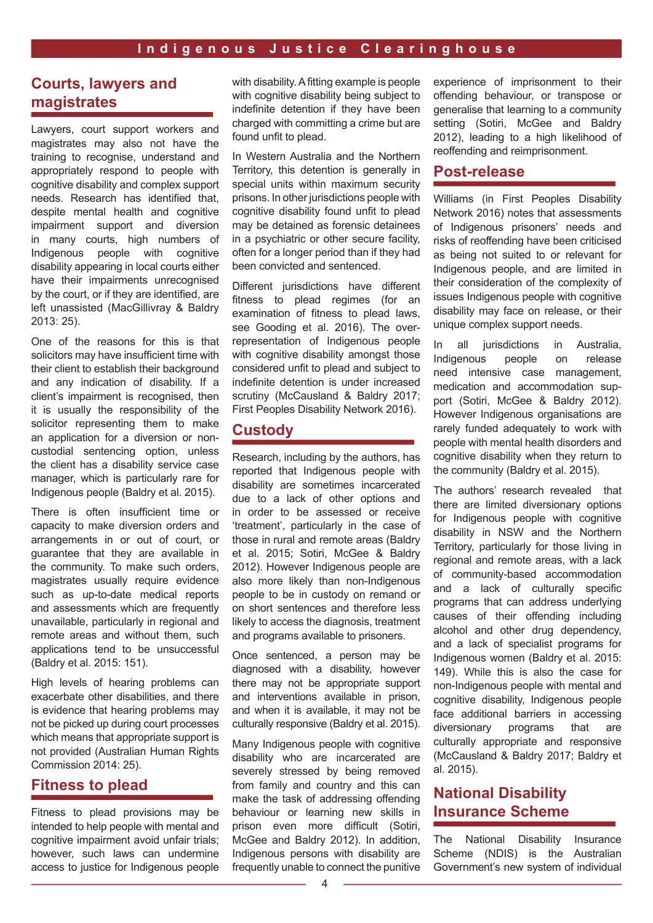## **Courts, lawyers and magistrates**

Lawyers, court support workers and magistrates may also not have the training to recognise, understand and appropriately respond to people with cognitive disability and complex support needs. Research has identified that, despite mental health and cognitive impairment support and diversion in many courts, high numbers of Indigenous people with cognitive disability appearing in local courts either have their impairments unrecognised by the court, or if they are identifed, are left unassisted (MacGillivray & Baldry 2013: 25).

One of the reasons for this is that solicitors may have insufficient time with their client to establish their background and any indication of disability. If a client's impairment is recognised, then it is usually the responsibility of the solicitor representing them to make an application for a diversion or noncustodial sentencing option, unless the client has a disability service case manager, which is particularly rare for Indigenous people (Baldry et al. 2015).

There is often insufficient time or capacity to make diversion orders and arrangements in or out of court, or guarantee that they are available in the community. To make such orders, magistrates usually require evidence such as up-to-date medical reports and assessments which are frequently unavailable, particularly in regional and remote areas and without them, such applications tend to be unsuccessful (Baldry et al. 2015: 151).

High levels of hearing problems can exacerbate other disabilities, and there is evidence that hearing problems may not be picked up during court processes which means that appropriate support is not provided (Australian Human Rights Commission 2014: 25).

## **Fitness to plead**

Fitness to plead provisions may be intended to help people with mental and cognitive impairment avoid unfair trials; however, such laws can undermine access to justice for Indigenous people with disability. A fitting example is people with cognitive disability being subject to indefinite detention if they have been charged with committing a crime but are found unfit to plead.

In Western Australia and the Northern Territory, this detention is generally in special units within maximum security prisons. In other jurisdictions people with cognitive disability found unfit to plead may be detained as forensic detainees in a psychiatric or other secure facility, often for a longer period than if they had been convicted and sentenced.

Different jurisdictions have different fitness to plead regimes (for an examination of fitness to plead laws, see Gooding et al. 2016). The overrepresentation of Indigenous people with cognitive disability amongst those considered unfit to plead and subject to indefinite detention is under increased scrutiny (McCausland & Baldry 2017; First Peoples Disability Network 2016).

## **Custody**

Research, including by the authors, has reported that Indigenous people with disability are sometimes incarcerated due to a lack of other options and in order to be assessed or receive 'treatment', particularly in the case of those in rural and remote areas (Baldry et al. 2015; Sotiri, McGee & Baldry 2012). However Indigenous people are also more likely than non-Indigenous people to be in custody on remand or on short sentences and therefore less likely to access the diagnosis, treatment and programs available to prisoners.

Once sentenced, a person may be diagnosed with a disability, however there may not be appropriate support and interventions available in prison, and when it is available, it may not be culturally responsive (Baldry et al. 2015).

Many Indigenous people with cognitive disability who are incarcerated are severely stressed by being removed from family and country and this can make the task of addressing offending behaviour or learning new skills in prison even more difficult (Sotiri, McGee and Baldry 2012). In addition, Indigenous persons with disability are frequently unable to connect the punitive

experience of imprisonment to their offending behaviour, or transpose or generalise that learning to a community setting (Sotiri, McGee and Baldry 2012), leading to a high likelihood of reoffending and reimprisonment.

#### **Post-release**

Williams (in First Peoples Disability Network 2016) notes that assessments of Indigenous prisoners' needs and risks of reoffending have been criticised as being not suited to or relevant for Indigenous people, and are limited in their consideration of the complexity of issues Indigenous people with cognitive disability may face on release, or their unique complex support needs.

In all jurisdictions in Australia, Indigenous people on release need intensive case management, medication and accommodation support (Sotiri, McGee & Baldry 2012). However Indigenous organisations are rarely funded adequately to work with people with mental health disorders and cognitive disability when they return to the community (Baldry et al. 2015).

The authors' research revealed that there are limited diversionary options for Indigenous people with cognitive disability in NSW and the Northern Territory, particularly for those living in regional and remote areas, with a lack of community-based accommodation and a lack of culturally specific programs that can address underlying causes of their offending including alcohol and other drug dependency, and a lack of specialist programs for Indigenous women (Baldry et al. 2015: 149). While this is also the case for non-Indigenous people with mental and cognitive disability, Indigenous people face additional barriers in accessing diversionary programs that are culturally appropriate and responsive (McCausland & Baldry 2017; Baldry et al. 2015).

# **National Disability Insurance Scheme**

The National Disability Insurance Scheme (NDIS) is the Australian Government's new system of individual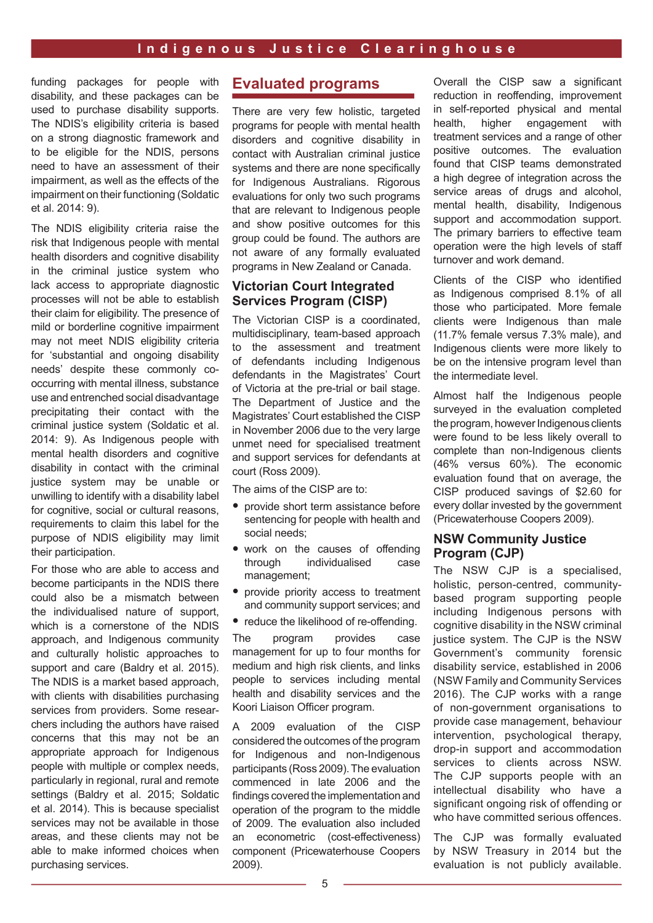funding packages for people with disability, and these packages can be used to purchase disability supports. The NDIS's eligibility criteria is based on a strong diagnostic framework and to be eligible for the NDIS, persons need to have an assessment of their impairment, as well as the effects of the impairment on their functioning (Soldatic et al. 2014: 9).

The NDIS eligibility criteria raise the risk that Indigenous people with mental health disorders and cognitive disability in the criminal justice system who lack access to appropriate diagnostic processes will not be able to establish their claim for eligibility. The presence of mild or borderline cognitive impairment may not meet NDIS eligibility criteria for 'substantial and ongoing disability needs' despite these commonly cooccurring with mental illness, substance use and entrenched social disadvantage precipitating their contact with the criminal justice system (Soldatic et al. 2014: 9). As Indigenous people with mental health disorders and cognitive disability in contact with the criminal justice system may be unable or unwilling to identify with a disability label for cognitive, social or cultural reasons, requirements to claim this label for the purpose of NDIS eligibility may limit their participation.

For those who are able to access and become participants in the NDIS there could also be a mismatch between the individualised nature of support, which is a cornerstone of the NDIS approach, and Indigenous community and culturally holistic approaches to support and care (Baldry et al. 2015). The NDIS is a market based approach, with clients with disabilities purchasing services from providers. Some researchers including the authors have raised concerns that this may not be an appropriate approach for Indigenous people with multiple or complex needs, particularly in regional, rural and remote settings (Baldry et al. 2015; Soldatic et al. 2014). This is because specialist services may not be available in those areas, and these clients may not be able to make informed choices when purchasing services.

## **Evaluated programs**

There are very few holistic, targeted programs for people with mental health disorders and cognitive disability in contact with Australian criminal justice systems and there are none specifically for Indigenous Australians. Rigorous evaluations for only two such programs that are relevant to Indigenous people and show positive outcomes for this group could be found. The authors are not aware of any formally evaluated programs in New Zealand or Canada.

#### **Victorian Court Integrated Services Program (CISP)**

The Victorian CISP is a coordinated, multidisciplinary, team-based approach to the assessment and treatment of defendants including Indigenous defendants in the Magistrates' Court of Victoria at the pre-trial or bail stage. The Department of Justice and the Magistrates' Court established the CISP in November 2006 due to the very large unmet need for specialised treatment and support services for defendants at court (Ross 2009).

The aims of the CISP are to:

- provide short term assistance before sentencing for people with health and social needs;
- work on the causes of offending<br>through individualised case individualised management;
- provide priority access to treatment and community support services; and
- reduce the likelihood of re-offending.

The program provides case management for up to four months for medium and high risk clients, and links people to services including mental health and disability services and the Koori Liaison Officer program.

A 2009 evaluation of the CISP considered the outcomes of the program for Indigenous and non-Indigenous participants (Ross 2009). The evaluation commenced in late 2006 and the fndings covered the implementation and operation of the program to the middle of 2009. The evaluation also included an econometric (cost-effectiveness) component (Pricewaterhouse Coopers 2009).

Overall the CISP saw a significant reduction in reoffending, improvement in self-reported physical and mental health, higher engagement with treatment services and a range of other positive outcomes. The evaluation found that CISP teams demonstrated a high degree of integration across the service areas of drugs and alcohol, mental health, disability, Indigenous support and accommodation support. The primary barriers to effective team operation were the high levels of staff turnover and work demand.

Clients of the CISP who identified as Indigenous comprised 8.1% of all those who participated. More female clients were Indigenous than male (11.7% female versus 7.3% male), and Indigenous clients were more likely to be on the intensive program level than the intermediate level.

Almost half the Indigenous people surveyed in the evaluation completed the program, however Indigenous clients were found to be less likely overall to complete than non-Indigenous clients (46% versus 60%). The economic evaluation found that on average, the CISP produced savings of \$2.60 for every dollar invested by the government (Pricewaterhouse Coopers 2009).

#### **NSW Community Justice Program (CJP)**

The NSW CJP is a specialised, holistic, person-centred, communitybased program supporting people including Indigenous persons with cognitive disability in the NSW criminal justice system. The CJP is the NSW Government's community forensic disability service, established in 2006 (NSW Family and Community Services 2016). The CJP works with a range of non-government organisations to provide case management, behaviour intervention, psychological therapy, drop-in support and accommodation services to clients across NSW. The CJP supports people with an intellectual disability who have a significant ongoing risk of offending or who have committed serious offences.

The CJP was formally evaluated by NSW Treasury in 2014 but the evaluation is not publicly available.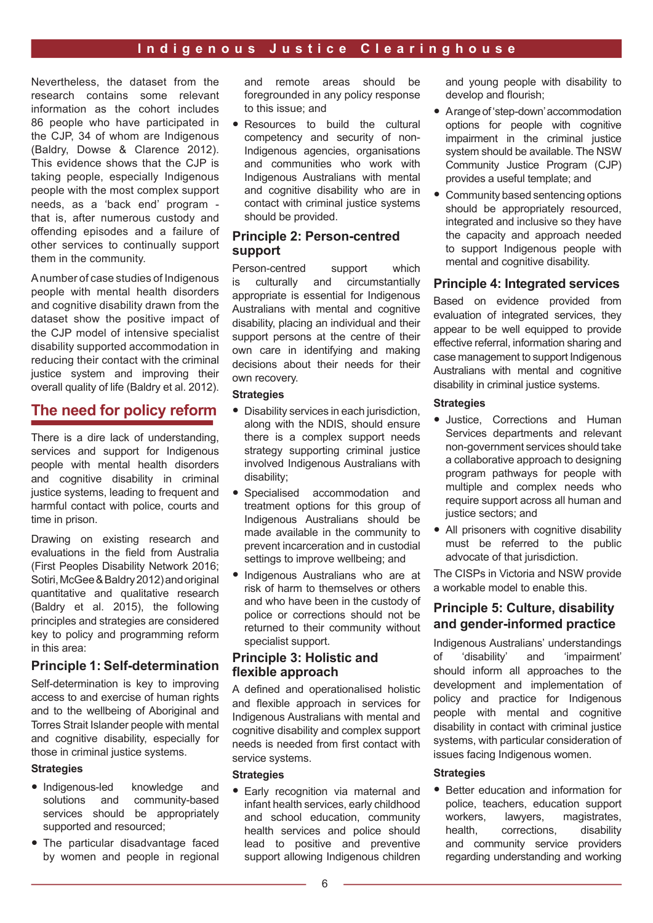Nevertheless, the dataset from the research contains some relevant information as the cohort includes 86 people who have participated in the CJP, 34 of whom are Indigenous (Baldry, Dowse & Clarence 2012). This evidence shows that the CJP is taking people, especially Indigenous people with the most complex support needs, as a 'back end' program that is, after numerous custody and offending episodes and a failure of other services to continually support them in the community.

A number of case studies of Indigenous people with mental health disorders and cognitive disability drawn from the dataset show the positive impact of the CJP model of intensive specialist disability supported accommodation in reducing their contact with the criminal justice system and improving their overall quality of life (Baldry et al. 2012).

## **The need for policy reform**

There is a dire lack of understanding, services and support for Indigenous people with mental health disorders and cognitive disability in criminal justice systems, leading to frequent and harmful contact with police, courts and time in prison.

Drawing on existing research and evaluations in the field from Australia (First Peoples Disability Network 2016; Sotiri, McGee & Baldry 2012) and original quantitative and qualitative research (Baldry et al. 2015), the following principles and strategies are considered key to policy and programming reform in this area:

#### **Principle 1: Self-determination**

Self-determination is key to improving access to and exercise of human rights and to the wellbeing of Aboriginal and Torres Strait Islander people with mental and cognitive disability, especially for those in criminal justice systems.

#### **Strategies**

- Indigenous-led knowledge and<br>solutions and community-based community-based services should be appropriately supported and resourced;
- The particular disadvantage faced by women and people in regional

and remote areas should be foregrounded in any policy response to this issue; and

• Resources to build the cultural competency and security of non-Indigenous agencies, organisations and communities who work with Indigenous Australians with mental and cognitive disability who are in contact with criminal justice systems should be provided.

#### **Principle 2: Person-centred support**

Person-centred support which is culturally and circumstantially appropriate is essential for Indigenous Australians with mental and cognitive disability, placing an individual and their support persons at the centre of their own care in identifying and making decisions about their needs for their own recovery.

#### **Strategies**

- Disability services in each jurisdiction, along with the NDIS, should ensure there is a complex support needs strategy supporting criminal justice involved Indigenous Australians with disability;
- Specialised accommodation and treatment options for this group of Indigenous Australians should be made available in the community to prevent incarceration and in custodial settings to improve wellbeing; and
- Indigenous Australians who are at risk of harm to themselves or others and who have been in the custody of police or corrections should not be returned to their community without specialist support.

#### **Principle 3: Holistic and**  flexible approach

A defined and operationalised holistic and fexible approach in services for Indigenous Australians with mental and cognitive disability and complex support needs is needed from first contact with service systems.

#### **Strategies**

• Early recognition via maternal and infant health services, early childhood and school education, community health services and police should lead to positive and preventive support allowing Indigenous children and young people with disability to develop and flourish:

- A range of 'step-down' accommodation options for people with cognitive impairment in the criminal justice system should be available. The NSW Community Justice Program (CJP) provides a useful template; and
- Community based sentencing options should be appropriately resourced, integrated and inclusive so they have the capacity and approach needed to support Indigenous people with mental and cognitive disability.

#### **Principle 4: Integrated services**

Based on evidence provided from evaluation of integrated services, they appear to be well equipped to provide effective referral, information sharing and case management to support Indigenous Australians with mental and cognitive disability in criminal justice systems.

#### **Strategies**

- Justice, Corrections and Human Services departments and relevant non-government services should take a collaborative approach to designing program pathways for people with multiple and complex needs who require support across all human and justice sectors; and
- All prisoners with cognitive disability must be referred to the public advocate of that jurisdiction.

The CISPs in Victoria and NSW provide a workable model to enable this.

#### **Principle 5: Culture, disability and gender-informed practice**

Indigenous Australians' understandings of 'disability' and 'impairment' should inform all approaches to the development and implementation of policy and practice for Indigenous people with mental and cognitive disability in contact with criminal justice systems, with particular consideration of issues facing Indigenous women.

#### **Strategies**

• Better education and information for police, teachers, education support workers, lawyers, magistrates, health, corrections, disability and community service providers regarding understanding and working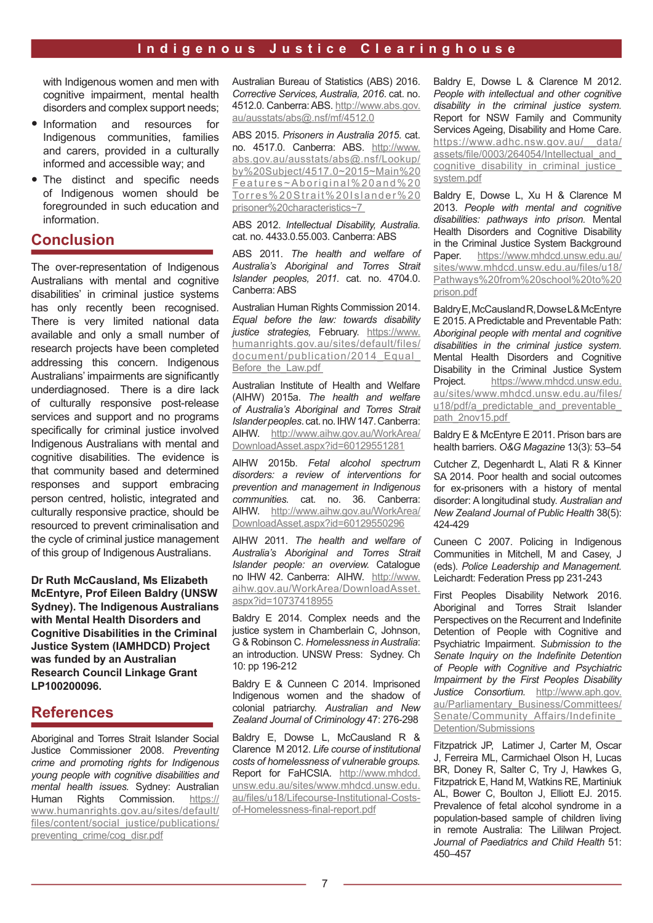with Indigenous women and men with cognitive impairment, mental health disorders and complex support needs;

- Information and resources for Indigenous communities, families and carers, provided in a culturally informed and accessible way; and
- The distinct and specific needs of Indigenous women should be foregrounded in such education and information.

# **Conclusion**

The over-representation of Indigenous Australians with mental and cognitive disabilities' in criminal justice systems has only recently been recognised. There is very limited national data available and only a small number of research projects have been completed addressing this concern. Indigenous Australians' impairments are significantly underdiagnosed. There is a dire lack of culturally responsive post-release services and support and no programs specifically for criminal justice involved Indigenous Australians with mental and cognitive disabilities. The evidence is that community based and determined responses and support embracing person centred, holistic, integrated and culturally responsive practice, should be resourced to prevent criminalisation and the cycle of criminal justice management of this group of Indigenous Australians.

**Dr Ruth McCausland, Ms Elizabeth McEntyre, Prof Eileen Baldry (UNSW Sydney). The Indigenous Australians with Mental Health Disorders and Cognitive Disabilities in the Criminal Justice System (IAMHDCD) Project was funded by an Australian Research Council Linkage Grant LP100200096.**

# **References**

Aboriginal and Torres Strait Islander Social Justice Commissioner 2008. *Preventing crime and promoting rights for Indigenous young people with cognitive disabilities and mental health issues.* Sydney: Australian Human Rights Commission. https:// www.humanrights.gov.au/sites/default/ files/content/social\_justice/publications/ preventing\_crime/cog\_disr.pdf

Australian Bureau of Statistics (ABS) 2016. *Corrective Services, Australia, 2016*. cat. no. 4512.0. Canberra: ABS. http://www.abs.gov. au/ausstats/abs@.nsf/mf/4512.0

ABS 2015. *Prisoners in Australia 2015*. cat. no. 4517.0. Canberra: ABS. http://www. abs.gov.au/ausstats/abs@.nsf/Lookup/ by%20Subject/4517.0~2015~Main%20 Features~Aboriginal%20and%20 Torres%20Strait%20Islander%20 prisoner%20characteristics~7

ABS 2012. *Intellectual Disability, Australia.* cat. no. 4433.0.55.003. Canberra: ABS

ABS 2011. *The health and welfare of Australia's Aboriginal and Torres Strait Islander peoples, 2011.* cat. no. 4704.0. Canberra: ABS

Australian Human Rights Commission 2014. *Equal before the law: towards disability justice strategies,* February. https://www. humanrights.gov.au/sites/default/files/ document/publication/2014 Equal Before the Law.pdf

Australian Institute of Health and Welfare (AIHW) 2015a. *The health and welfare of Australia's Aboriginal and Torres Strait Islander peoples*. cat. no. IHW 147. Canberra: AIHW. http://www.aihw.gov.au/WorkArea/ DownloadAsset.aspx?id=60129551281

AIHW 2015b. *Fetal alcohol spectrum disorders: a review of interventions for prevention and management in Indigenous communities.* cat. no. 36. Canberra: AIHW. http://www.aihw.gov.au/WorkArea/ DownloadAsset.aspx?id=60129550296

AIHW 2011. *The health and welfare of Australia's Aboriginal and Torres Strait Islander people: an overview.* Catalogue no IHW 42. Canberra: AIHW. http://www. aihw.gov.au/WorkArea/DownloadAsset. aspx?id=10737418955

Baldry E 2014. Complex needs and the justice system in Chamberlain C, Johnson, G & Robinson C. *Homelessness in Australia*: an introduction. UNSW Press: Sydney. Ch 10: pp 196-212

Baldry E & Cunneen C 2014. Imprisoned Indigenous women and the shadow of colonial patriarchy. *Australian and New Zealand Journal of Criminology* 47: 276-298

Baldry E, Dowse L, McCausland R & Clarence M 2012. *Life course of institutional costs of homelessness of vulnerable groups.*  Report for FaHCSIA. http://www.mhdcd. unsw.edu.au/sites/www.mhdcd.unsw.edu. au/files/u18/Lifecourse-Institutional-Costsof-Homelessness-fnal-report.pdf

Baldry E, Dowse L & Clarence M 2012. *People with intellectual and other cognitive disability in the criminal justice system.*  Report for NSW Family and Community Services Ageing, Disability and Home Care. https://www.adhc.nsw.gov.au/ \_data/ assets/file/0003/264054/Intellectual and cognitive disability in criminal justice system.pdf

Baldry E, Dowse L, Xu H & Clarence M 2013. *People with mental and cognitive disabilities: pathways into prison.* Mental Health Disorders and Cognitive Disability in the Criminal Justice System Background Paper. https://www.mhdcd.unsw.edu.au/ sites/www.mhdcd.unsw.edu.au/files/u18/ Pathways%20from%20school%20to%20 prison.pdf

Baldry E, McCausland R, Dowse L& McEntyre E 2015. A Predictable and Preventable Path: *Aboriginal people with mental and cognitive disabilities in the criminal justice system.*  Mental Health Disorders and Cognitive Disability in the Criminal Justice System Project. https://www.mhdcd.unsw.edu. au/sites/www.mhdcd.unsw.edu.au/files/ u18/pdf/a predictable and preventable path\_2nov15.pdf

Baldry E & McEntyre E 2011. Prison bars are health barriers. *O&G Magazine* 13(3): 53–54

Cutcher Z, Degenhardt L, Alati R & Kinner SA 2014. Poor health and social outcomes for ex-prisoners with a history of mental disorder: A longitudinal study. *Australian and New Zealand Journal of Public Health* 38(5): 424-429

Cuneen C 2007. Policing in Indigenous Communities in Mitchell, M and Casey, J (eds). *Police Leadership and Management.*  Leichardt: Federation Press pp 231-243

First Peoples Disability Network 2016. Aboriginal and Torres Strait Islander Perspectives on the Recurrent and Indefinite Detention of People with Cognitive and Psychiatric Impairment. *Submission to the Senate Inquiry on the Indefinite Detention of People with Cognitive and Psychiatric Impairment by the First Peoples Disability Justice Consortium.* http://www.aph.gov. au/Parliamentary\_Business/Committees/ Senate/Community Affairs/Indefinite Detention/Submissions

Fitzpatrick JP, Latimer J, Carter M, Oscar J, Ferreira ML, Carmichael Olson H, Lucas BR, Doney R, Salter C, Try J, Hawkes G, Fitzpatrick E, Hand M, Watkins RE, Martiniuk AL, Bower C, Boulton J, Elliott EJ. 2015. Prevalence of fetal alcohol syndrome in a population-based sample of children living in remote Australia: The Lililwan Project. *Journal of Paediatrics and Child Health* 51: 450–457